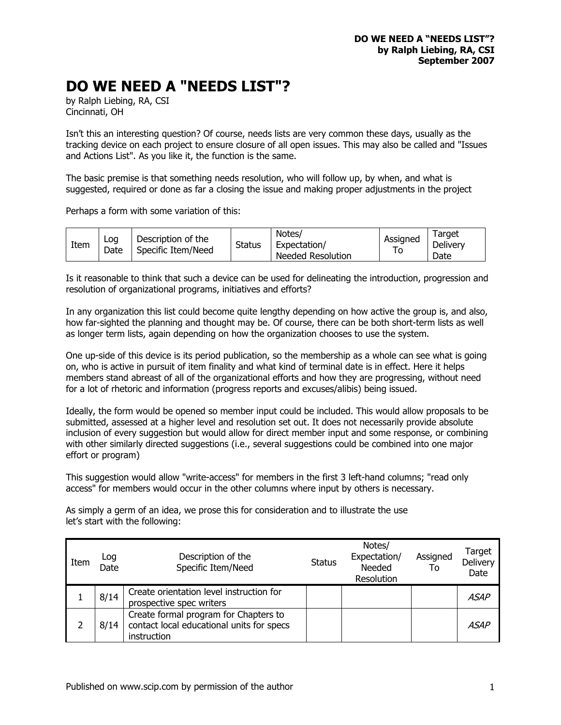## **DO WE NEED A "NEEDS LIST"?**

by Ralph Liebing, RA, CSI Cincinnati, OH

Isn't this an interesting question? Of course, needs lists are very common these days, usually as the tracking device on each project to ensure closure of all open issues. This may also be called and "Issues and Actions List". As you like it, the function is the same.

The basic premise is that something needs resolution, who will follow up, by when, and what is suggested, required or done as far a closing the issue and making proper adjustments in the project

Perhaps a form with some variation of this:

| Item | Log<br>Date | Description of the<br>Specific Item/Need | <b>Status</b> | Notes/<br>Expectation/<br>Needed Resolution | Assigned<br>10 | Farget<br>Delivery<br>Date |
|------|-------------|------------------------------------------|---------------|---------------------------------------------|----------------|----------------------------|
|      |             |                                          |               |                                             |                |                            |

Is it reasonable to think that such a device can be used for delineating the introduction, progression and resolution of organizational programs, initiatives and efforts?

In any organization this list could become quite lengthy depending on how active the group is, and also, how far-sighted the planning and thought may be. Of course, there can be both short-term lists as well as longer term lists, again depending on how the organization chooses to use the system.

One up-side of this device is its period publication, so the membership as a whole can see what is going on, who is active in pursuit of item finality and what kind of terminal date is in effect. Here it helps members stand abreast of all of the organizational efforts and how they are progressing, without need for a lot of rhetoric and information (progress reports and excuses/alibis) being issued.

Ideally, the form would be opened so member input could be included. This would allow proposals to be submitted, assessed at a higher level and resolution set out. It does not necessarily provide absolute inclusion of every suggestion but would allow for direct member input and some response, or combining with other similarly directed suggestions (i.e., several suggestions could be combined into one major effort or program)

This suggestion would allow "write-access" for members in the first 3 left-hand columns; "read only access" for members would occur in the other columns where input by others is necessary.

As simply a germ of an idea, we prose this for consideration and to illustrate the use let's start with the following:

| Item | Log<br>Date | Description of the<br>Specific Item/Need                                                          | <b>Status</b> | Notes/<br>Expectation/<br>Needed<br>Resolution | Assigned<br>To | Target<br>Delivery<br>Date |
|------|-------------|---------------------------------------------------------------------------------------------------|---------------|------------------------------------------------|----------------|----------------------------|
|      | 8/14        | Create orientation level instruction for<br>prospective spec writers                              |               |                                                |                | ASAP                       |
|      | 8/14        | Create formal program for Chapters to<br>contact local educational units for specs<br>instruction |               |                                                |                | A.SAP                      |